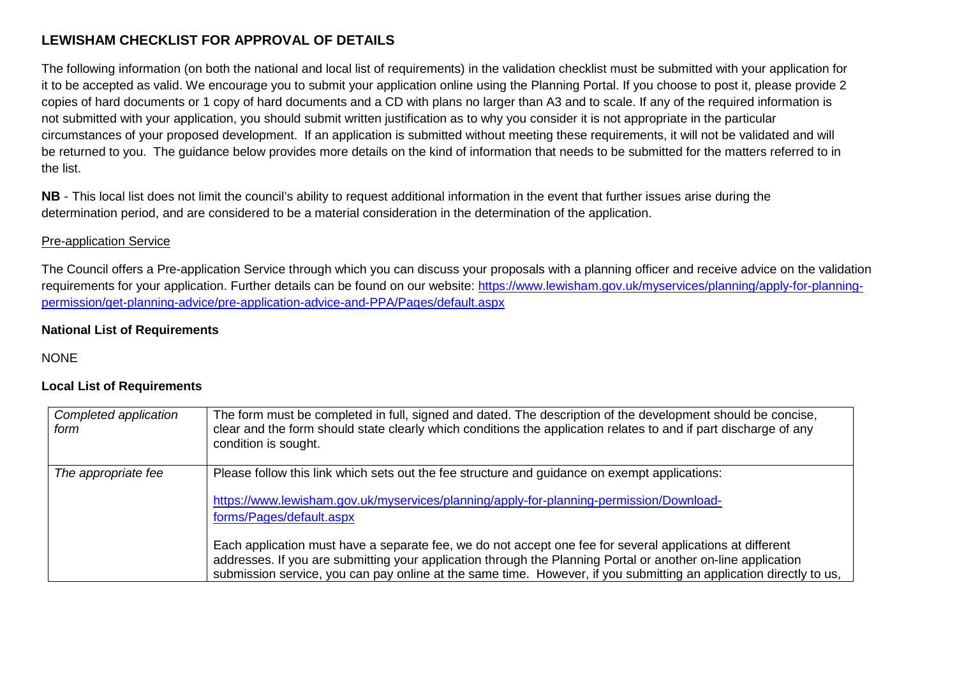## **LEWISHAM CHECKLIST FOR APPROVAL OF DETAILS**

The following information (on both the national and local list of requirements) in the validation checklist must be submitted with your application for it to be accepted as valid. We encourage you to submit your application online using the Planning Portal. If you choose to post it, please provide 2 copies of hard documents or 1 copy of hard documents and a CD with plans no larger than A3 and to scale. If any of the required information is not submitted with your application, you should submit written justification as to why you consider it is not appropriate in the particular circumstances of your proposed development. If an application is submitted without meeting these requirements, it will not be validated and will be returned to you. The guidance below provides more details on the kind of information that needs to be submitted for the matters referred to in the list.

**NB** - This local list does not limit the council's ability to request additional information in the event that further issues arise during the determination period, and are considered to be a material consideration in the determination of the application.

## Pre-application Service

The Council offers a Pre-application Service through which you can discuss your proposals with a planning officer and receive advice on the validation requirements for your application. Further details can be found on our website: https://www.lewisham.gov.uk/myservices/planning/apply-for-planningpermission/get-planning-advice/pre-application-advice-and-PPA/Pages/default.aspx

## **National List of Requirements**

**NONE** 

## **Local List of Requirements**

| Completed application<br>form | The form must be completed in full, signed and dated. The description of the development should be concise,<br>clear and the form should state clearly which conditions the application relates to and if part discharge of any<br>condition is sought.                                                                                         |
|-------------------------------|-------------------------------------------------------------------------------------------------------------------------------------------------------------------------------------------------------------------------------------------------------------------------------------------------------------------------------------------------|
| The appropriate fee           | Please follow this link which sets out the fee structure and guidance on exempt applications:<br>https://www.lewisham.gov.uk/myservices/planning/apply-for-planning-permission/Download-<br>forms/Pages/default.aspx                                                                                                                            |
|                               | Each application must have a separate fee, we do not accept one fee for several applications at different<br>addresses. If you are submitting your application through the Planning Portal or another on-line application<br>submission service, you can pay online at the same time. However, if you submitting an application directly to us, |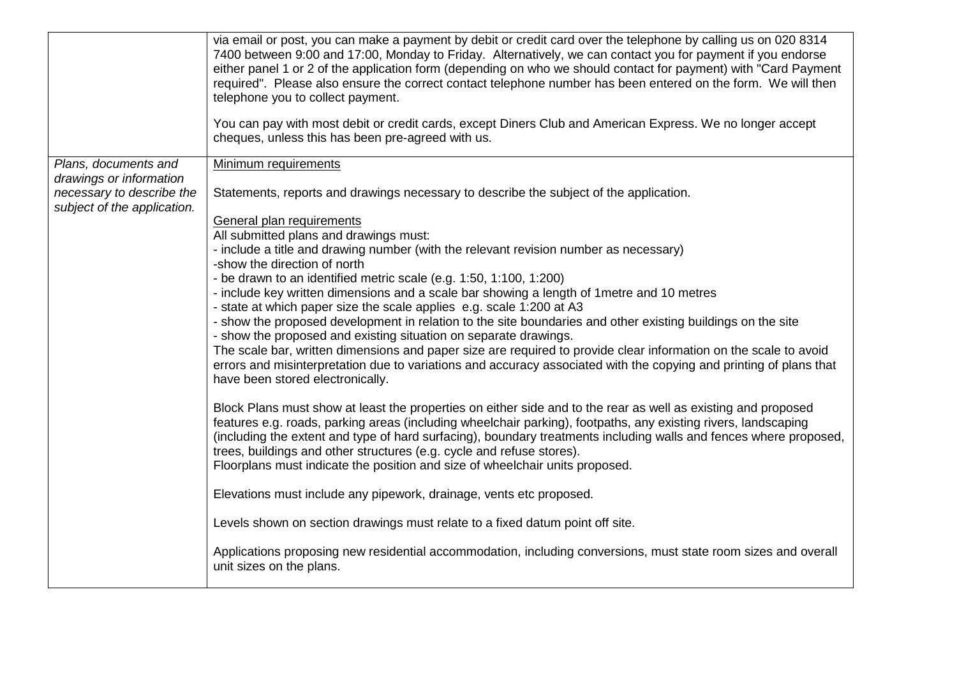|                                                                                     | via email or post, you can make a payment by debit or credit card over the telephone by calling us on 020 8314<br>7400 between 9:00 and 17:00, Monday to Friday. Alternatively, we can contact you for payment if you endorse<br>either panel 1 or 2 of the application form (depending on who we should contact for payment) with "Card Payment<br>required". Please also ensure the correct contact telephone number has been entered on the form. We will then<br>telephone you to collect payment.<br>You can pay with most debit or credit cards, except Diners Club and American Express. We no longer accept<br>cheques, unless this has been pre-agreed with us. |
|-------------------------------------------------------------------------------------|--------------------------------------------------------------------------------------------------------------------------------------------------------------------------------------------------------------------------------------------------------------------------------------------------------------------------------------------------------------------------------------------------------------------------------------------------------------------------------------------------------------------------------------------------------------------------------------------------------------------------------------------------------------------------|
| Plans, documents and                                                                | Minimum requirements                                                                                                                                                                                                                                                                                                                                                                                                                                                                                                                                                                                                                                                     |
| drawings or information<br>necessary to describe the<br>subject of the application. | Statements, reports and drawings necessary to describe the subject of the application.                                                                                                                                                                                                                                                                                                                                                                                                                                                                                                                                                                                   |
|                                                                                     | General plan requirements                                                                                                                                                                                                                                                                                                                                                                                                                                                                                                                                                                                                                                                |
|                                                                                     | All submitted plans and drawings must:<br>- include a title and drawing number (with the relevant revision number as necessary)                                                                                                                                                                                                                                                                                                                                                                                                                                                                                                                                          |
|                                                                                     | -show the direction of north                                                                                                                                                                                                                                                                                                                                                                                                                                                                                                                                                                                                                                             |
|                                                                                     | - be drawn to an identified metric scale (e.g. 1:50, 1:100, 1:200)<br>- include key written dimensions and a scale bar showing a length of 1 metre and 10 metres                                                                                                                                                                                                                                                                                                                                                                                                                                                                                                         |
|                                                                                     | - state at which paper size the scale applies e.g. scale 1:200 at A3                                                                                                                                                                                                                                                                                                                                                                                                                                                                                                                                                                                                     |
|                                                                                     | - show the proposed development in relation to the site boundaries and other existing buildings on the site<br>- show the proposed and existing situation on separate drawings.                                                                                                                                                                                                                                                                                                                                                                                                                                                                                          |
|                                                                                     | The scale bar, written dimensions and paper size are required to provide clear information on the scale to avoid<br>errors and misinterpretation due to variations and accuracy associated with the copying and printing of plans that<br>have been stored electronically.                                                                                                                                                                                                                                                                                                                                                                                               |
|                                                                                     | Block Plans must show at least the properties on either side and to the rear as well as existing and proposed<br>features e.g. roads, parking areas (including wheelchair parking), footpaths, any existing rivers, landscaping<br>(including the extent and type of hard surfacing), boundary treatments including walls and fences where proposed,<br>trees, buildings and other structures (e.g. cycle and refuse stores).<br>Floorplans must indicate the position and size of wheelchair units proposed.                                                                                                                                                            |
|                                                                                     | Elevations must include any pipework, drainage, vents etc proposed.                                                                                                                                                                                                                                                                                                                                                                                                                                                                                                                                                                                                      |
|                                                                                     | Levels shown on section drawings must relate to a fixed datum point off site.                                                                                                                                                                                                                                                                                                                                                                                                                                                                                                                                                                                            |
|                                                                                     | Applications proposing new residential accommodation, including conversions, must state room sizes and overall<br>unit sizes on the plans.                                                                                                                                                                                                                                                                                                                                                                                                                                                                                                                               |